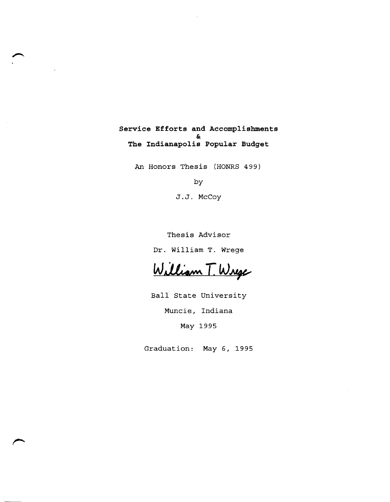### **Service Efforts and Accomplishments**  & **The Indianapolis Popular Budget**

An Honors Thesis (HONRS 499)

by

J.J. McCoy

Thesis Advisor

Dr. William T. Wrege

William T. Wrege

Ball State University

Muncie, Indiana

May 1995

Graduation: May 6, 1995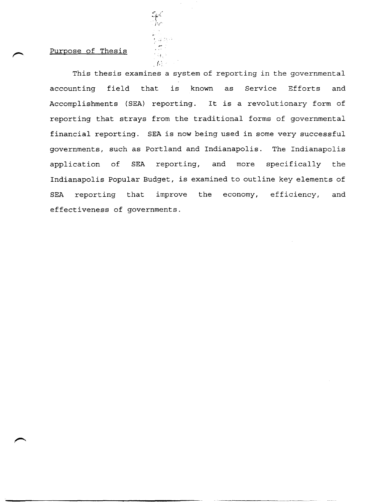## Purpose of Thesis

This thesis examines a system of reporting in the governmental accounting field that is known as Service Efforts and Accomplishments (SEA) reporting. It is a revolutionary form of reporting that strays from the traditional forms of governmental financial reporting. SEA is now being used in some very successful governments, such as Portland and Indianapolis. The Indianapolis application of SEA reporting, and more specifically the Indianapolis Popular Budget, is examined to outline key elements of SEA reporting that improve the economy, efficiency, and effectiveness of governments.

 $\mathbb{E}_{\mathcal{L}}$ 

 $\mathbb{R}^n$ 

spc<br>The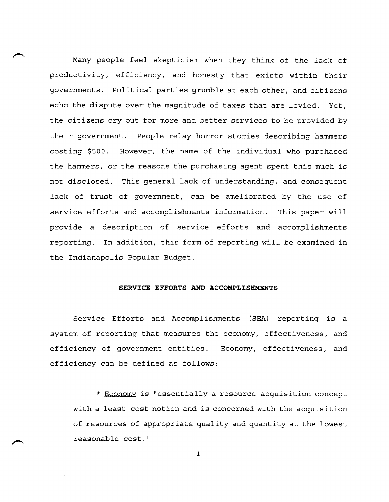Many people feel skepticism when they think of the lack of productivity, efficiency, and honesty that exists within their governments. Political parties grumble at each other, and citizens echo the dispute over the magnitude of taxes that are levied. Yet, the citizens cry out for more and better services to be provided by their government. People relay horror stories describing hammers costing \$500. However, the name of the individual who purchased the hammers, or the reasons the purchasing agent spent this much is not disclosed. This general lack of understanding, and consequent lack of trust of government, can be ameliorated by the use of service efforts and accomplishments information. This paper will provide a description of service efforts and accomplishments reporting. In addition, this form of reporting will be examined in the Indianapolis Popular Budget.

### **SERVICE EFFORTS AND ACCOMPLISHMENTS**

Service Efforts and Accomplishments (SEA) reporting is a system of reporting that measures the economy, effectiveness, and efficiency of government entities. Economy, effectiveness, and efficiency can be defined as follows:

\* Economy is "essentially a resource-acquisition concept with a least-cost notion and is concerned with the acquisition of resources of appropriate quality and quantity at the lowest reasonable cost."

1

 $\leftarrow$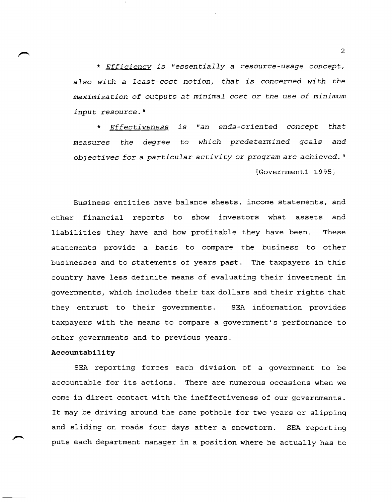\* *Efficiency is "essentially* a *resource-usage concept, also wi th* a *least-cost notion, that is concerned wi th the maximization of outputs* at *minimal* cost or *the use of minimum input resource."* 

\* *Effectiveness is "an ends-oriented concept that measures the degree* to *which predetermined goals and objectives for* a *particular activi* ty or *program are achieved. "* 

[Government1 1995]

Business entities have balance sheets, income statements, and other financial reports to show investors what assets and liabilities they have and how profitable they have been. These statements provide a basis to compare the business to other businesses and to statements of years past. The taxpayers in this country have less definite means of evaluating their investment in governments, which includes their tax dollars and their rights that they entrust to their governments. SEA information provides taxpayers with the means to compare a government's performance to other governments and to previous years.

### **Accountability**

SEA reporting forces each division of a government to be accountable for its actions. There are numerous occasions when we come in direct contact with the ineffectiveness of our governments. It may be driving around the same pothole for two years or slipping and sliding on roads four days after a snowstorm. SEA reporting puts each department manager in a position where he actually has to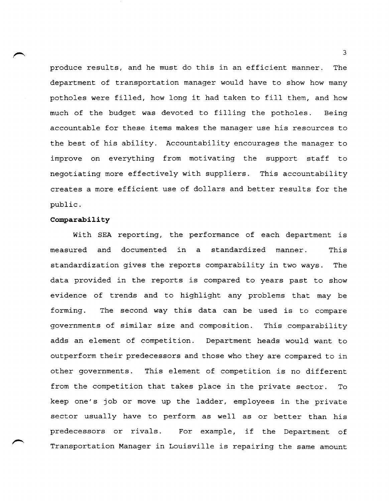produce results, and he must do this in an efficient manner. The department of transportation manager would have to show how many potholes were filled, how long it had taken to fill them, and how much of the budget was devoted to filling the potholes. Being accountable for these items makes the manager use his resources to the best of his ability. Accountability encourages the manager to improve on everything from motivating the support staff to negotiating more effectively with suppliers. This accountability creates a more efficient use of dollars and better results for the public.

### **Comparability**

With SEA reporting, the performance of each department is measured and documented in a standardized manner. This standardization gives the reports comparability in two ways. The data provided in the reports is compared to years past to show evidence of trends and to highlight any problems that may be forming. The second way this data can be used is to compare governments of similar size and composition. This comparability adds an element of competition. Department heads would want to outperform their predecessors and those who they are compared to in other governments. This element of competition is no different from the competition that takes place in the private sector. To keep one's job or move up the ladder, employees in the private sector usually have to perform as well as or better than his predecessors or rivals. For example, if the Department of Transportation Manager in Louisville is repairing the same amount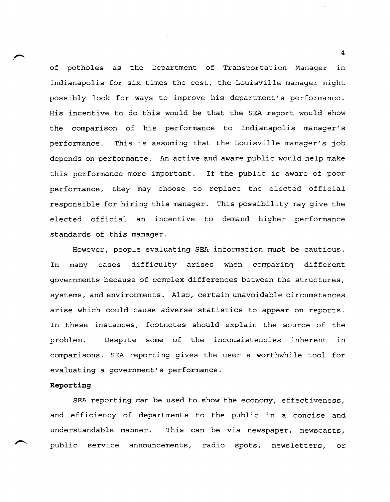of potholes as the Department of Transportation Manager in Indianapolis for six times the cost, the Louisville manager might possibly look for ways to improve his department's performance. His incentive to do this would be that the SEA report would show the comparison of his performance to Indianapolis manager's performance. This is assuming that the Louisville manager's job depends on performance. An active and aware public would help make this performance more important. If the public is aware of poor performance, they may choose to replace the elected official responsible for hiring this manager. This possibility may give the elected official an incentive to demand higher performance standards of this manager.

However, people evaluating SEA information must be cautious. In many cases difficulty arises when comparing different governments because of complex differences between the structures, systems, and environments. Also, certain unavoidable circumstances arise which could cause adverse statistics to appear on reports. In these instances, footnotes should explain the source of the problem. Despite some of the inconsistencies inherent in comparisons, SEA reporting gives the user a worthwhile tool for evaluating a government's performance.

### **Reporting**

SEA reporting can be used to show the economy, effectiveness, and efficiency of departments to the public in a concise and understandable manner. This can be via newspaper, newscasts, public service announcements, radio spots, newsletters, or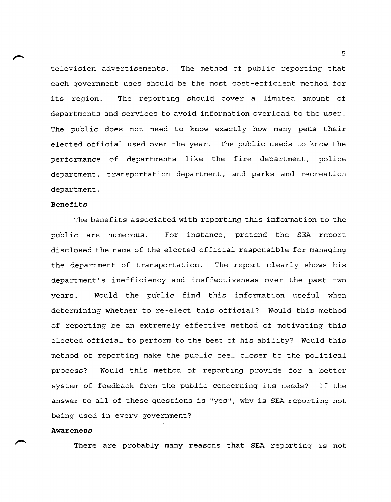television advertisements. The method of public reporting that each government uses should be the most cost-efficient method for its region. The reporting should cover a limited amount of departments and services to avoid information overload to the user. The public does not need to know exactly how many pens their elected official used over the year. The public needs to know the performance of departments like the fire department, police department, transportation department, and parks and recreation department.

### **Benefits**

The benefits associated with reporting this information to the public are numerous. For instance, pretend the SEA report disclosed the name of the elected official responsible for managing the department of transportation. The report clearly shows his department's inefficiency and ineffectiveness over the past two years. Would the public find this information useful when determining whether to re-elect this official? Would this method of reporting be an extremely effective method of motivating this elected official to perform to the best of his ability? Would this method of reporting make the public feel closer to the political process? Would this method of reporting provide for a better system of feedback from the public concerning its needs? If the answer to all of these questions is "yes", why is SEA reporting not being used in every government?

### **Awareness**

There are probably many reasons that SEA reporting is not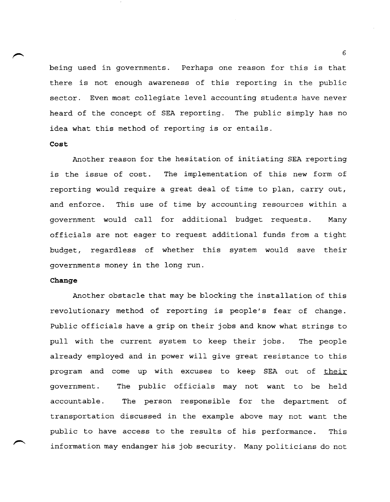being used in governments. Perhaps one reason for this is that there is not enough awareness of this reporting in the public sector. Even most collegiate level accounting students have never heard of the concept of SEA reporting. The public simply has no idea what this method of reporting is or entails.

### **Cost**

Another reason for the hesitation of initiating SEA reporting is the issue of cost. The implementation of this new form of reporting would require a great deal of time to plan, carry out, and enforce. This use of time by accounting resources within a government would call for additional budget requests. Many officials are not eager to request additional funds from a tight budget, regardless of whether this system would save their governments money in the long run.

### **Change**

Another obstacle that may be blocking the installation of this revolutionary method of reporting is people's fear of change. Public officials have a grip on their jobs and know what strings to pull with the current system to keep their jobs. The people already employed and in power will give great resistance to this program and come up with excuses to keep SEA out of their government. The public officials may not want to be held accountable. The person responsible for the department of transportation discussed in the example above may not want the public to have access to the results of his performance. This information may endanger his job security. Many politicians do not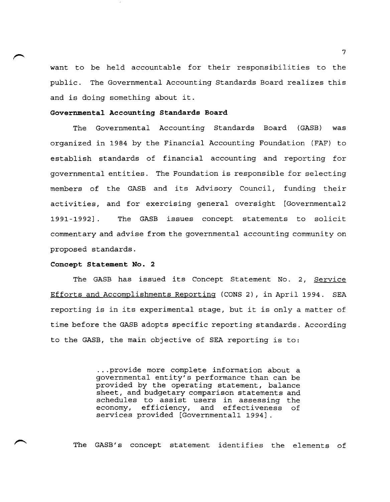want to be held accountable for their responsibilities to the public. The Governmental Accounting Standards Board realizes this and is doing something about it.

### **Governmental Accounting Standards Board**

The Governmental Accounting Standards Board (GASB) was organized in 1984 by the Financial Accounting Foundation (FAF) to establish standards of financial accounting and reporting for governmental entities. The Foundation is responsible for selecting members of the GASB and its Advisory Council, funding their activities, and for exercising general oversight [Governmenta12 1991-1992] . The GASB issues concept statements to solicit commentary and advise from the governmental accounting community on proposed standards.

### **Concept Statement No. 2**

The GASB has issued its Concept Statement No.2, Service Efforts and Accomplishments Reporting (CONS 2), in April 1994. SEA reporting is in its experimental stage, but it is only a matter of time before the GASB adopts specific reporting standards. According to the GASB, the main objective of SEA reporting is to:

> ... provide more complete information about a governmental entity's performance than can be provided by the operating statement, balance sheet, and budgetary comparison statements and schedules to assist users in assessing the<br>economy, efficiency, and effectiveness of efficiency, and effectiveness of services provided [Governmental1 1994].

The GASB's concept statement identifies the elements of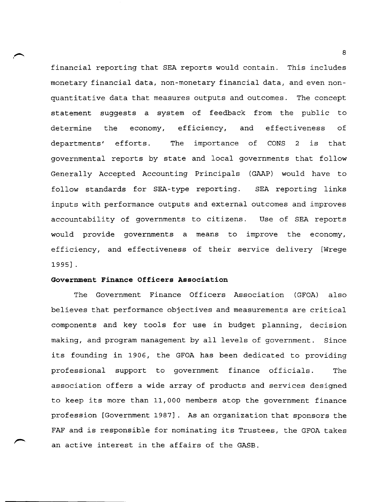financial reporting that SEA reports would contain. This includes monetary financial data, non-monetary financial data, and even nonquantitative data that measures outputs and outcomes. The concept statement suggests a system of feedback from the public to determine the economy, efficiency, and effectiveness of departments' efforts. The importance of CONS 2 is that governmental reports by state and local governments that follow Generally Accepted Accounting Principals (GAAP) would have to follow standards for SEA-type reporting. SEA reporting links inputs with performance outputs and external outcomes and improves accountability of governments to citizens. Use of SEA reports would provide governments a means to improve the economy, efficiency, and effectiveness of their service delivery [Wrege 1995] .

### **Government Finance Officers Association**

The Government Finance Officers Association (GFOA) also believes that performance objectives and measurements are critical components and key tools for use in budget planning, decision making, and program management by all levels of government. Since its founding in 1906, the GFOA has been dedicated to providing professional support to government finance officials. The association offers a wide array of products and services designed to keep its more than 11,000 members atop the government finance profession [Government 1987]. As an organization that sponsors the FAF and is responsible for nominating its Trustees, the GFOA takes an active interest in the affairs of the GASB.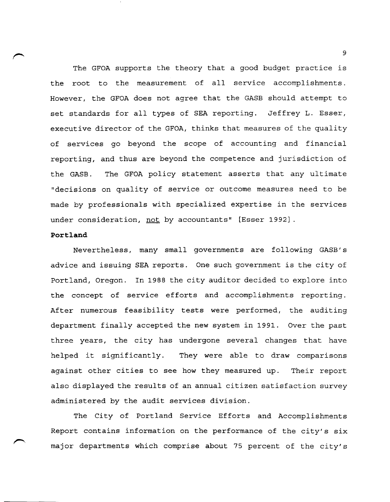The GFOA supports the theory that a good budget practice is the root to the measurement of all service accomplishments. However, the GFOA does not agree that the GASB should attempt to set standards for all types of SEA reporting. Jeffrey L. Esser, executive director of the GFOA, thinks that measures of the quality of services go beyond the scope of accounting and financial reporting, and thus are beyond the competence and jurisdiction of the GASB. The GFOA policy statement asserts that any ultimate "decisions on quality of service or outcome measures need to be made by professionals with specialized expertise in the services under consideration, not by accountants" [Esser 1992] .

### **Portland**

Nevertheless, many small governments are following GASB' s advice and issuing SEA reports. One such government is the city of Portland, Oregon. In 1988 the city auditor decided to explore into the concept of service efforts and accomplishments reporting. After numerous feasibility tests were performed, the auditing department finally accepted the new system in 1991. Over the past three years, the city has undergone several changes that have helped it significantly. They were able to draw comparisons against other cities to see how they measured up. Their report also displayed the results of an annual citizen satisfaction survey administered by the audit services division.

The City of Portland Service Efforts and Accomplishments Report contains information on the performance of the city's six major departments which comprise about 75 percent of the city's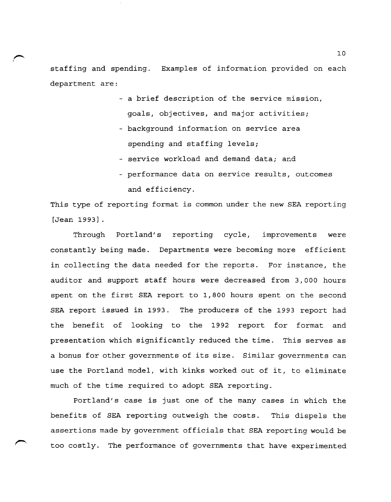staffing and spending. Examples of information provided on each department are:

- a brief description of the service mission, goals, objectives, and major activities;
- background information on service area spending and staffing levels;
- service workload and demand data; and
- performance data on service results, outcomes and efficiency.

This type of reporting format is common under the new SEA reporting [Jean 1993] .

Through Portland's reporting cycle, improvements were constantly being made. Departments were becoming more efficient in collecting the data needed for the reports. For instance, the auditor and support staff hours were decreased from 3,000 hours spent on the first SEA report to 1,800 hours spent on the second SEA report issued in 1993. The producers of the 1993 report had the benefit of looking to the 1992 report for format and presentation which significantly reduced the time. This serves as a bonus for other governments of its size. Similar governments can use the Portland model, with kinks worked out of it, to eliminate much of the time required to adopt SEA reporting.

Portland's case is just one of the many cases in which the benefits of SEA reporting outweigh the costs. This dispels the assertions made by government officials that SEA reporting would be too costly. The performance of governments that have experimented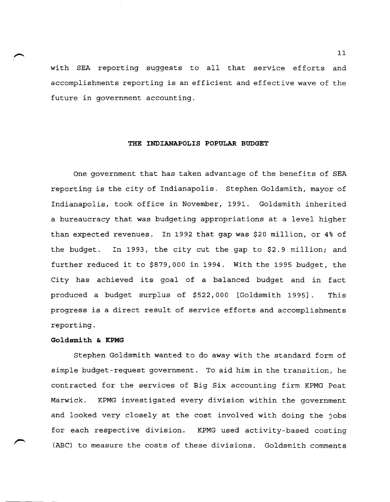with SEA reporting suggests to all that service efforts and accomplishments reporting is an efficient and effective wave of the future in government accounting.

### **THE INDIANAPOLIS POPULAR BUDGET**

One government that has taken advantage of the benefits of SEA reporting is the city of Indianapolis. Stephen Goldsmith, mayor of Indianapolis, took office in November, 1991. Goldsmith inherited a bureaucracy that was budgeting appropriations at a level higher than expected revenues. In 1992 that gap was \$20 million, or 4% of the budget. In 1993, the city cut the gap to \$2.9 million; and further reduced it to \$879,000 in 1994. With the 1995 budget, the City has achieved its goal of a balanced budget and in fact produced a budget surplus of \$522,000 [Goldsmith 1995]. This progress is a direct result of service efforts and accomplishments reporting.

### **Goldsmith & KPMG**

Stephen Goldsmith wanted to do away with the standard form of simple budget-request government. To aid him in the transition, he contracted for the services of Big Six accounting firm KPMG Peat Marwick. KPMG investigated every division within the government and looked very closely at the cost involved with doing the jobs for each respective division. KPMG used activity-based costing (ABC) to measure the costs of these divisions. Goldsmith comments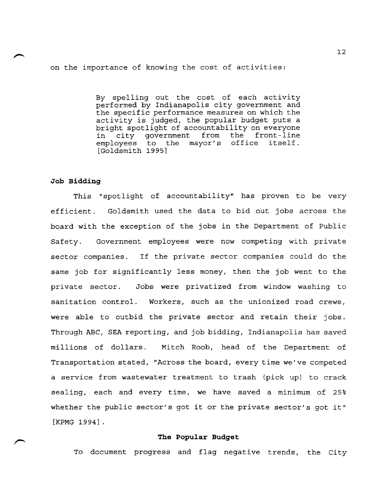on the importance of knowing the cost of activities:

By spelling out the cost of each activity performed by Indianapolis city government and the specific performance measures on which the activity is judged, the popular budget puts a bright spotlight of accountability on everyone<br>in city government from the front-line in city government from the front-line<br>employees to the mayor's office itself. employees to the [Goldsmith 1995]

### **Job Bidding**

This "spotlight of accountability" has proven to be very efficient. Goldsmith used the data to bid out jobs across the board with the exception of the jobs in the Department of Public Safety. Government employees were now competing with private sector companies. If the private sector companies could do the same job for significantly less money, then the job went to the private sector. Jobs were privatized from window washing to sanitation control. Workers, such as the unionized road crews, were able to outbid the private sector and retain their jobs. Through ABC, SEA reporting, and job bidding, Indianapolis has saved millions of dollars. Mitch Roob, head of the Department of Transportation stated, "Across the board, every time we've competed a service from wastewater treatment to trash (pick up) to crack sealing, each and every time, we have saved a minimum of 25% whether the public sector's got it or the private sector's got it" [KPMG 1994] .

### **The Popular Budget**

To document progress and flag negative trends, the City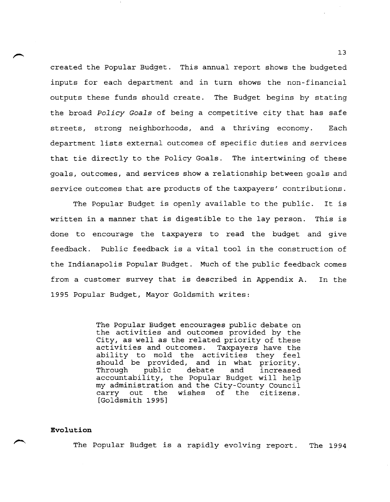created the Popular Budget. This annual report shows the budgeted inputs for each department and in turn shows the non-financial outputs these funds should create. The Budget begins by stating the broad *Policy Goals* of being a competitive city that has safe streets, strong neighborhoods, and a thriving economy. Each department lists external outcomes of specific duties and services that tie directly to the Policy Goals. The intertwining of these goals, outcomes, and services show a relationship between goals and service outcomes that are products of the taxpayers' contributions.

The Popular Budget is openly available to the public. It is written in a manner that is digestible to the lay person. This is done to encourage the taxpayers to read the budget and give feedback. Public feedback is a vital tool in the construction of the Indianapolis Popular Budget. Much of the public feedback comes from a customer survey that is described in Appendix A. 1995 Popular Budget, Mayor Goldsmith writes: In the

> The Popular Budget encourages public debate on the activities and outcomes provided by the City, as well as the related priority of these activities and outcomes. Taxpayers have the ability to mold the activities they feel should be provided, and in what priority.<br>Through public debate and increased Through public debate and increased accountability, the Popular Budget will help my administration and the City-County Council carry out the wishes of the citizens. [Goldsmith 1995]

### **Evolution**

The Popular Budget is a rapidly evolving report. The 1994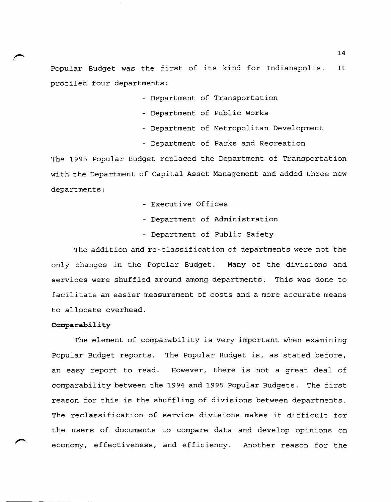Popular Budget was the first of its kind for Indianapolis. profiled four departments: It

- Department of Transportation
- Department of Public Works
- Department of Metropolitan Development
- Department of Parks and Recreation

The 1995 Popular Budget replaced the Department of Transportation with the Department of Capital Asset Management and added three new departments:

- Executive Offices
- Department of Administration
- Department of Public Safety

The addition and re-classification of departments were not the only changes in the Popular Budget. Many of the divisions and services were shuffled around among departments. This was done to facilitate an easier measurement of costs and a more accurate means to allocate overhead.

### **Comparability**

The element of comparability is very important when examining Popular Budget reports. The Popular Budget is, as stated before, an easy report to read. However, there is not a great deal of comparability between the 1994 and 1995 Popular Budgets. The first reason for this is the shuffling of divisions between departments. The reclassification of service divisions makes it difficult for the users of documents to compare data and develop opinions on economy, effectiveness, and efficiency. Another reason for the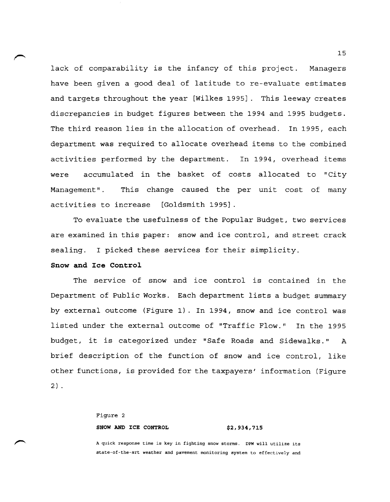lack of comparability is the infancy of this project. Managers have been given a good deal of latitude to re-evaluate estimates and targets throughout the year [Wilkes 1995]. This leeway creates discrepancies in budget figures between the 1994 and 1995 budgets. The third reason lies in the allocation of overhead. In 1995, each department was required to allocate overhead items to the combined activities performed by the department. In 1994, overhead items were accumulated in the basket of costs allocated to "City Management". This change caused the per unit cost of many activities to increase [Goldsmith 1995]

To evaluate the usefulness of the Popular Budget, two services are examined in this paper: snow and ice control, and street crack sealing. I picked these services for their simplicity.

### **Snow and Ice Control**

The service of snow and ice control is contained in the Department of Public Works. Each department lists a budget summary by external outcome (Figure 1). In 1994, snow and ice control was listed under the external outcome of "Traffic Flow." In the 1995 budget, it is categorized under "Safe Roads and Sidewalks." A brief description of the function of snow and ice control, like other functions, is provided for the taxpayers' information (Figure 2) .

## Figure 2 **SNOW AND ICE CONTROL \$2,934,715**

A quick response time is key in fighting snow storms. DPW will utilize its state-of-the-art weather and pavement monitoring system to effectively and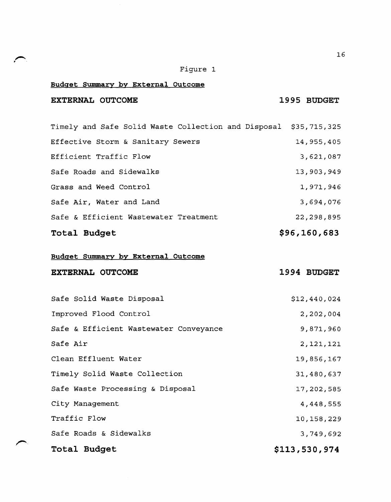## Figure 1

## **Budget Summary by External Outcome**

## **EXTERNAL OUTCOME 1995 BUDGET**

| Total Budget                                                     | \$96,160,683 |
|------------------------------------------------------------------|--------------|
| Safe & Efficient Wastewater Treatment                            | 22,298,895   |
| Safe Air, Water and Land                                         | 3,694,076    |
| Grass and Weed Control                                           | 1,971,946    |
| Safe Roads and Sidewalks                                         | 13,903,949   |
| Efficient Traffic Flow                                           | 3,621,087    |
| Effective Storm & Sanitary Sewers                                | 14,955,405   |
| Timely and Safe Solid Waste Collection and Disposal \$35,715,325 |              |

## **Budget Summary by External Outcome**

| <b>EXTERNAL OUTCOME</b> |  | 1994 BUDGET |
|-------------------------|--|-------------|
|                         |  |             |

| Total Budget                           | \$113,530,974 |
|----------------------------------------|---------------|
| Safe Roads & Sidewalks                 | 3,749,692     |
| Traffic Flow                           | 10,158,229    |
| City Management                        | 4,448,555     |
| Safe Waste Processing & Disposal       | 17,202,585    |
| Timely Solid Waste Collection          | 31,480,637    |
| Clean Effluent Water                   | 19,856,167    |
| Safe Air                               | 2,121,121     |
| Safe & Efficient Wastewater Conveyance | 9,871,960     |
| Improved Flood Control                 | 2,202,004     |
| Safe Solid Waste Disposal              | \$12,440,024  |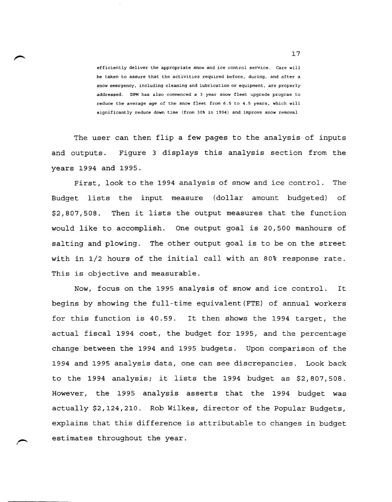efficiently deliver the appropriate snow and ice control service. Care will be taken to assure that the activities required before, during, and after a snow emergency, including cleaning and lubrication or equipment. are properly addressed. DPM has also commenced a 3 year snow fleet upgrade program to reduce the average age of the snow fleet from 6.5 to 4.5 years, which will significantly reduce down time (from 30% in 1994) and improve snow removal

The user can then flip a few pages to the analysis of inputs and outputs. Figure 3 displays this analysis section from the years 1994 and 1995.

First, look to the 1994 analysis of snow and ice control. The Budget lists the input measure (dollar amount budgeted) of \$2,807,508. Then it lists the output measures that the function would like to accomplish. One output goal is 20,500 manhours of salting and plowing. The other output goal is to be on the street with in 1/2 hours of the initial call with an 80% response rate. This is objective and measurable.

Now, focus on the 1995 analysis of snow and ice control. It begins by showing the full-time equivalent (FTE) of annual workers for this function is 40.59. It then shows the 1994 target, the actual fiscal 1994 cost, the budget for 1995, and the percentage change between the 1994 and 1995 budgets. Upon comparison of the 1994 and 1995 analysis data, one can see discrepancies. Look back to the 1994 analysis; it lists the 1994 budget as \$2,807,508. However, the 1995 analysis asserts that the 1994 budget was actually \$2,124,210. Rob Wilkes, director of the Popular Budgets, explains that this difference is attributable to changes in budget estimates throughout the year.

 $\overline{\phantom{0}}$ ,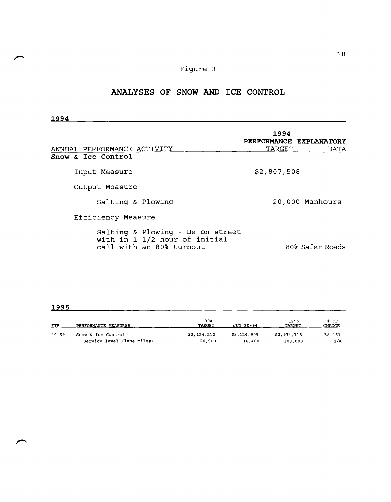## Figure 3

 $\mathcal{A}$ 

## **ANALYSES OF SNOW AND ICE CONTROL**

| 1994                                                                                          |                                           |                 |
|-----------------------------------------------------------------------------------------------|-------------------------------------------|-----------------|
| ANNUAL PERFORMANCE ACTIVITY                                                                   | 1994<br>PERFORMANCE EXPLANATORY<br>TARGET | DATA            |
| Snow & Ice Control                                                                            |                                           |                 |
| Input Measure                                                                                 | \$2,807,508                               |                 |
| Output Measure                                                                                |                                           |                 |
| Salting & Plowing                                                                             |                                           | 20,000 Manhours |
| Efficiency Measure                                                                            |                                           |                 |
| Salting & Plowing - Be on street<br>with in 1 1/2 hour of initial<br>call with an 80% turnout |                                           | 80% Safer Roads |

## **1995**

| <b>FTE</b> | PERFORMANCE MEASURES       | 1994<br>TARGET | JUN 30-94   | 1995<br>TARGET | % OF<br>CHANGE |
|------------|----------------------------|----------------|-------------|----------------|----------------|
| 40.59      | Snow & Ice Control         | \$2,124,210    | \$3,124,909 | \$2,934,715    | $38.16*$       |
|            | Service level (lane miles) | 20,500         | 16,400      | 108,000        | n/a            |

 $\sim 10$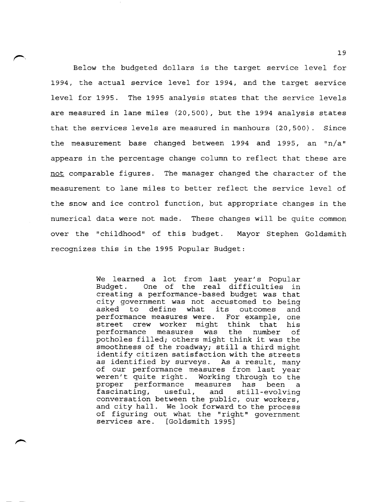Below the budgeted dollars is the target service level for 1994, the actual service level for 1994, and the target service level for 1995. The 1995 analysis states that the service levels are measured in lane miles (20,500), but the 1994 analysis states that the services levels are measured in manhours (20,500). Since the measurement base changed between 1994 and 1995, an  $\ln/a$ " appears in the percentage change column to reflect that these are not comparable figures. The manager changed the character of the measurement to lane miles to better reflect the service level of the snow and ice control function, but appropriate changes in the numerical data were not made. These changes will be quite common over the "childhood" of this budget. Mayor Stephen Goldsmith recognizes this in the 1995 Popular Budget:

> We learned a lot from last year's Popular Budget. One of the real difficulties in creating a performance-based budget was that city government was not accustomed to being asked to define what its outcomes and performance measures were. For example, one street crew worker might think that his<br>performance measures was the number of performance measures was the number of potholes filled; others might think it was the smoothness of the roadway; still a third might identify citizen satisfaction with the streets as identified by surveys. As a result, many of our performance measures from last year weren't quite right. Working through to the<br>proper performance measures has been a proper performance measures has been a<br>fascinating, useful, and still-evolving and still-evolving conversation between the public, our workers, and city hall. We look forward to the process of figuring out what the "right" government services are. [Goldsmith 1995]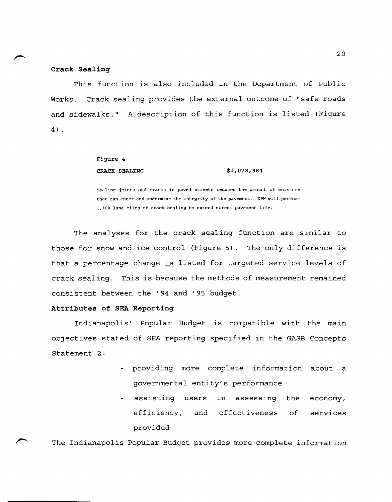### **Crack Sealing**

This function is also included in the Department of Public Works. Crack sealing provides the external outcome of "safe roads and sidewalks." A description of this function is listed (Figure 4) .

## Figure 4 **CRACK SEALING \$1,078,884**

Sealing joints and cracks in paved streets reduces the amount of moisture that can enter and undermine the integrity of the pavement. DPW will perform 1,100 lane miles of crack sealing to extend street pavement life.

The analyses for the crack sealing function are similar to those for snow and ice control (Figure 5). The only difference is that a percentage change is listed for targeted service levels of crack sealing. This is because the methods of measurement remained consistent between the '94 and '95 budget.

### **Attributes of SEA Reporting**

Indianapolis' Popular Budget is compatible with the main objectives stated of SEA reporting specified in the GASB Concepts Statement 2:

- providing more complete information about a governmental entity's performance
- assisting users in assessing the economy, efficiency, and effectiveness of services provided

The Indianapolis Popular Budget provides more complete information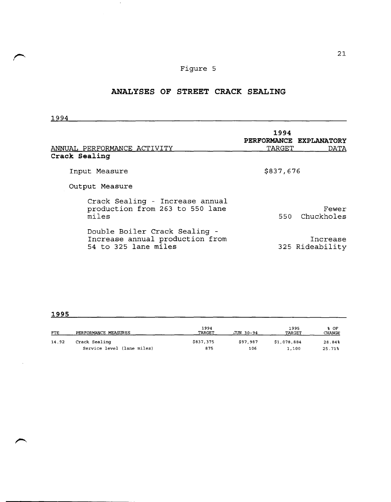## Figure 5

## **ANALYSES OF STREET CRACK SEALING**

1994

 $\sim 10$ 

| ANNUAL PERFORMANCE ACTIVITY<br>Crack Sealing                                             | 1994<br>PERFORMANCE EXPLANATORY<br>TARGET | DATA                        |
|------------------------------------------------------------------------------------------|-------------------------------------------|-----------------------------|
| Input Measure                                                                            | \$837,676                                 |                             |
| Output Measure                                                                           |                                           |                             |
| Crack Sealing - Increase annual<br>production from 263 to 550 lane<br>miles              | 550.                                      | Fewer<br>Chuckholes         |
| Double Boiler Crack Sealing -<br>Increase annual production from<br>54 to 325 lane miles |                                           | Increase<br>325 Rideability |

| <b>FTE</b> | PERFORMANCE MEASURES       | 1994<br>TARGET | JUN 30-94 | 1995<br>TARGET | % OF<br>CHANGE |
|------------|----------------------------|----------------|-----------|----------------|----------------|
| 14.92      | Crack Sealing              | \$837,375      | \$97.987  | \$1,078.884    | 28.84%         |
|            | Service level (lane miles) | 875            | 106       | 1,100          | 25.71%         |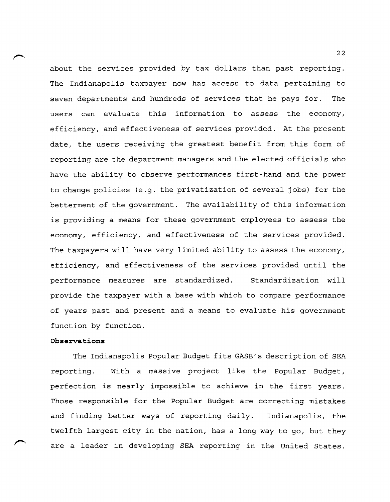about the services provided by tax dollars than past reporting. The Indianapolis taxpayer now has access to data pertaining to seven departments and hundreds of services that he pays for. The users can evaluate this information to assess the economy, efficiency, and effectiveness of services provided. At the present date, the users receiving the greatest benefit from this form of reporting are the department managers and the elected officials who have the ability to observe performances first-hand and the power to change policies (e.g. the privatization of several jobs) for the betterment of the government. The availability of this information is providing a means for these government employees to assess the economy, efficiency, and effectiveness of the services provided. The taxpayers will have very limited ability to assess the economy, efficiency, and effectiveness of the services provided until the performance measures are standardized. Standardization will provide the taxpayer with a base with which to compare performance of years past and present and a means to evaluate his government function by function.

### **Observations**

The Indianapolis Popular Budget fits GASB's description of SEA reporting. With a massive project like the Popular Budget, perfection is nearly impossible to achieve in the first years. Those responsible for the Popular Budget are correcting mistakes and finding better ways of reporting daily. Indianapolis, the twelfth largest city in the nation, has a long way to go, but they are a leader in developing SEA reporting in the United States.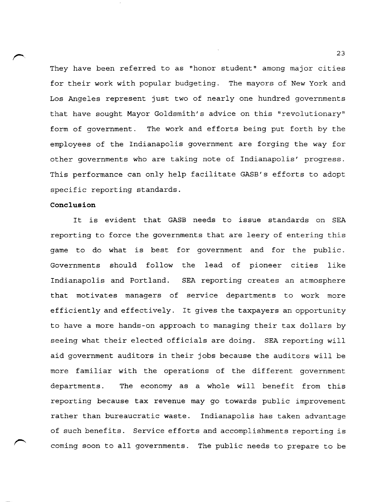They have been referred to as "honor student" among major cities for their work with popular budgeting. The mayors of New York and Los Angeles represent just two of nearly one hundred governments that have sought Mayor Goldsmith's advice on this "revolutionary" form of government. The work and efforts being put forth by the employees of the Indianapolis government are forging the way for other governments who are taking note of Indianapolis' progress. This performance can only help facilitate GASB's efforts to adopt specific reporting standards.

### **Conclusion**

It is evident that GASB needs to issue standards on SEA reporting to force the governments that are leery of entering this game to do what is best for government and for the public. Governments should follow the lead of pioneer cities like Indianapolis and Portland. SEA reporting creates an atmosphere that motivates managers of service departments to work more efficiently and effectively. It gives the taxpayers an opportunity to have a more hands-on approach to managing their tax dollars by seeing what their elected officials are doing. SEA reporting will aid government auditors in their jobs because the auditors will be more familiar with the operations of the different government departments. The economy as a whole will benefit from this reporting because tax revenue may go towards public improvement rather than bureaucratic waste. Indianapolis has taken advantage of such benefits. Service efforts and accomplishments reporting is coming soon to all governments. The public needs to prepare to be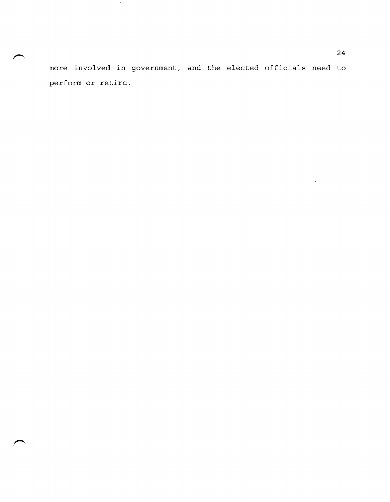more involved in government, and the elected officials need to perform or retire.

 $\sim 100$ 

 $\mathcal{L}_{\mathcal{A}}$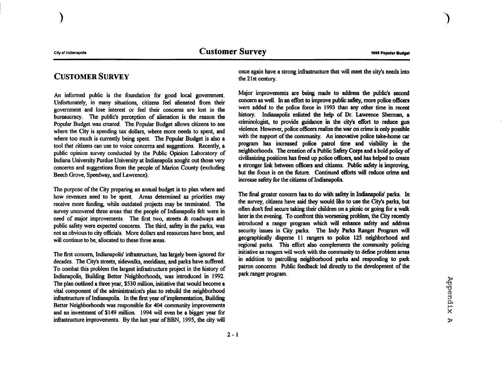)

## CUSTOMER SURVEY

An infonned public is the foundation for good local government. Unfortunately, in many situations, citizens feel alienated from their government and lose interest or feel their concerns are lost in the bureaucracy. The public's perception of alienation is the reason the Popular Budget was created. The Popular Budget allows citizens to see where the City is spending tax dollars, where more needs to spent, and where too much is currently being spent. The Popular Budget is also a tool that citizens can use to voice concerns and suggestions. Recently, a public opinion survey conducted by the Public Opinion Laboratory of Indiana University Purdue University at Indianapolis sought out those very concerns and suggestions from the people of Marion County (excluding Beech Grove, Speedway, and Lawrence).

The purpose of the City preparing an annual budget is to plan where and how revenues need to be spent. Areas determined as priorities may receive more funding, while outdated projects may be terminated. The survey uncovered three areas that the people of Indianapolis felt were in need of major improvements. The first two, streets & roadways and public safety were expected concerns. The third, safety in the parks, was not as obvious to city officials. More dollars and resources have been, and will continue to be, allocated to these three areas.

The first concern, Indianapolis' infrastructure, has largely been ignored for decades. The City's streets, sidewalks, meridians, and parks have suffered. To combat this problem the largest infrastructure project in the history of Indianapolis, Building Better Neighborhoods, was introduced in 1992. The plan outlined a three year, \$530 million, initiative that would become a vital component of the administration's plan to rebuild the neighborhood infrastructure of Indianapolis. In the first year of implementation, Building Better Neighborhoods was responsible for 404 community improvements and an investment of \$149 million. 1994 will even be a bigger year for infrastructure improvements. By the last year of BBN, 1995, the city will

once again have a strong infrastructure that will meet the city's needs into the 21 st century.

Major improvements are being made to address the public's second concern as well. In an effort to improve public safety, more police officers were added to the police force in 1993 than any other time in recent history. Indianapolis enlisted the help of Dr. Lawrence Sherman, a criminologist, to provide guidance in the city's effort to reduce gun violence. However, police officers realize the war on crime is only possible with the support of the community. An innovative police take-home car program has increased police patrol time and visibility in the neighborhoods. The creation of a Public Safety Corps and a bold policy of civilianizing positions has freed up police officers, and has helped to create a stronger link between officers and citizens. Public safety is improving, but the focus is on the future. Continued efforts will reduce crime and increase safety for the citizens of Indianapolis.

The final greater concern has to do with safety in Indianapolis' parks. In the survey, citizens have said they would like to use the City's parks, but often don't feel secure taking their children on a picnic or going for a walk later in the evening. To confront this worsening problem, the City recently introduced a ranger program which will enhance safety and address security issues in City parks. The Indy Parks Ranger Program will geographically disperse 11 rangers to police 125 neighborhood and regional parks. This effort also complements the community policing initiative as rangers will work with the community to define problem areas in addition to patrolling neighborhood parks and responding to park patron concerns. Public feedback led directly to the development of the park ranger program.

<)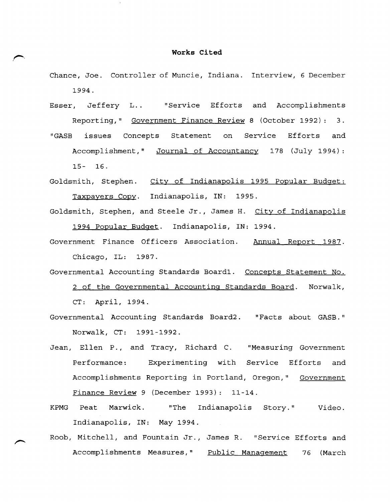### **Works Cited**

- Chance, Joe. Controller of Muncie, Indiana. Interview, 6 December 1994.
- Esser, Jeffery L. . "Service Efforts and Accomplishments Reporting," <u>Government Finance Review</u> 8 (October 1992): 3.
- "GASB issues Concepts Statement on Service Efforts and Accomplishment," Journal of Accountancy 178 (July 1994): 15- 16.
- Goldsmith, Stephen. City of Indianapolis 1995 Popular Budget: Taxpayers Copy. Indianapolis, IN: 1995.
- Goldsmith, Stephen, and Steele Jr., James H. City of Indianapolis 1994 Popular Budget. Indianapolis, IN: 1994.
- Government Finance Officers Association. Annual Report 1987. Chicago, IL: 1987.
- Governmental Accounting Standards Board1. Concepts Statement No. 2 of the Governmental Accounting Standards Board. Norwalk, CT: April, 1994.
- Governmental Accounting Standards Board2. "Facts about GASB." Norwalk, CT: 1991-1992.
- Jean, Ellen P., and Tracy, Richard C. "Measuring Government Performance: Experimenting with Service Efforts and Accomplishments Reporting in Portland, Oregon," Government Finance Review 9 (December 1993): 11-14.
- KPMG Peat Marwick. "The Indianapolis Story. " Video. Indianapolis, IN: May 1994.
- Roob, Mitchell, and Fountain Jr., James R. "Service Efforts and Accomplishments Measures," Public Management 76 (March